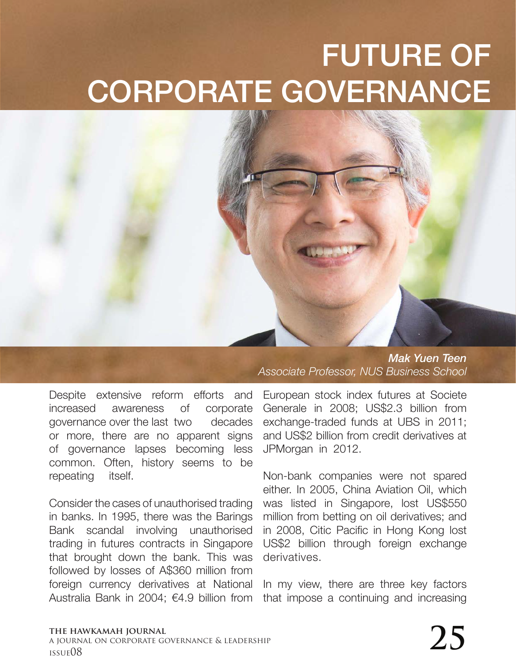## FUTURE OF CORPORATE GOVERNANCE

Despite extensive reform efforts and increased awareness of corporate governance over the last two decades or more, there are no apparent signs of governance lapses becoming less common. Often, history seems to be repeating itself.

Consider the cases of unauthorised trading in banks. In 1995, there was the Barings Bank scandal involving unauthorised trading in futures contracts in Singapore that brought down the bank. This was followed by losses of A\$360 million from foreign currency derivatives at National Australia Bank in 2004; €4.9 billion from

*Mak Yuen Teen Associate Professor, NUS Business School* 

European stock index futures at Societe Generale in 2008; US\$2.3 billion from exchange-traded funds at UBS in 2011; and US\$2 billion from credit derivatives at JPMorgan in 2012.

Non-bank companies were not spared either. In 2005, China Aviation Oil, which was listed in Singapore, lost US\$550 million from betting on oil derivatives; and in 2008, Citic Pacific in Hong Kong lost US\$2 billion through foreign exchange derivatives.

In my view, there are three key factors that impose a continuing and increasing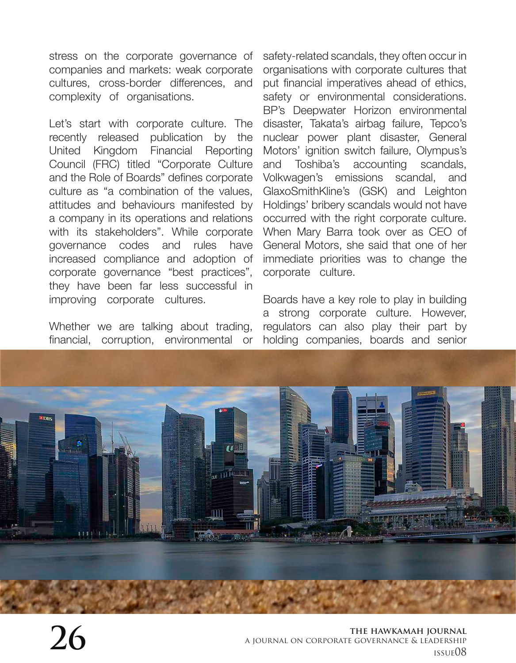stress on the corporate governance of companies and markets: weak corporate cultures, cross-border differences, and complexity of organisations.

Let's start with corporate culture. The recently released publication by the United Kingdom Financial Reporting Council (FRC) titled "Corporate Culture and the Role of Boards" defines corporate culture as "a combination of the values, attitudes and behaviours manifested by a company in its operations and relations with its stakeholders". While corporate governance codes and rules have increased compliance and adoption of corporate governance "best practices", they have been far less successful in improving corporate cultures.

Whether we are talking about trading, financial, corruption, environmental or

safety-related scandals, they often occur in organisations with corporate cultures that put financial imperatives ahead of ethics, safety or environmental considerations. BP's Deepwater Horizon environmental disaster, Takata's airbag failure, Tepco's nuclear power plant disaster, General Motors' ignition switch failure, Olympus's and Toshiba's accounting scandals, Volkwagen's emissions scandal, and GlaxoSmithKline's (GSK) and Leighton Holdings' bribery scandals would not have occurred with the right corporate culture. When Mary Barra took over as CEO of General Motors, she said that one of her immediate priorities was to change the corporate culture.

Boards have a key role to play in building a strong corporate culture. However, regulators can also play their part by holding companies, boards and senior

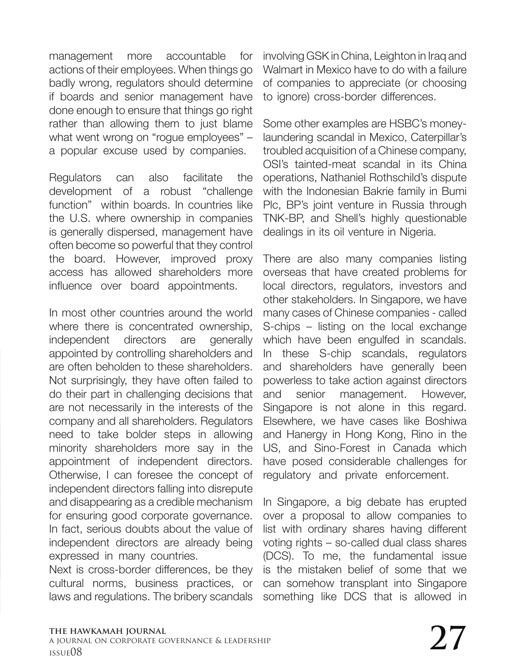management more accountable for actions of their employees. When things go badly wrong, regulators should determine if boards and senior management have done enough to ensure that things go right rather than allowing them to just blame what went wrong on "rogue employees" – a popular excuse used by companies.

Regulators can also facilitate the development of a robust "challenge function" within boards. In countries like the U.S. where ownership in companies is generally dispersed, management have often become so powerful that they control the board. However, improved proxy access has allowed shareholders more influence over board appointments.

In most other countries around the world where there is concentrated ownership. independent directors are generally appointed by controlling shareholders and are often beholden to these shareholders. Not surprisingly, they have often failed to do their part in challenging decisions that are not necessarily in the interests of the company and all shareholders. Regulators need to take bolder steps in allowing minority shareholders more say in the appointment of independent directors. Otherwise, I can foresee the concept of independent directors falling into disrepute and disappearing as a credible mechanism for ensuring good corporate governance. In fact, serious doubts about the value of independent directors are already being expressed in many countries.

Next is cross-border differences, be they cultural norms, business practices, or laws and regulations. The bribery scandals

involving GSK in China, Leighton in Iraq and Walmart in Mexico have to do with a failure of companies to appreciate (or choosing to ignore) cross-border differences.

Some other examples are HSBC's moneylaundering scandal in Mexico, Caterpillar's troubled acquisition of a Chinese company, OSI's tainted-meat scandal in its China operations, Nathaniel Rothschild's dispute with the Indonesian Bakrie family in Bumi Plc, BP's joint venture in Russia through TNK-BP, and Shell's highly questionable dealings in its oil venture in Nigeria.

There are also many companies listing overseas that have created problems for local directors, regulators, investors and other stakeholders. In Singapore, we have many cases of Chinese companies - called S-chips – listing on the local exchange which have been engulfed in scandals. In these S-chip scandals, regulators and shareholders have generally been powerless to take action against directors and senior management. However, Singapore is not alone in this regard. Elsewhere, we have cases like Boshiwa and Hanergy in Hong Kong, Rino in the US, and Sino-Forest in Canada which have posed considerable challenges for regulatory and private enforcement.

In Singapore, a big debate has erupted over a proposal to allow companies to list with ordinary shares having different voting rights – so-called dual class shares (DCS). To me, the fundamental issue is the mistaken belief of some that we can somehow transplant into Singapore something like DCS that is allowed in